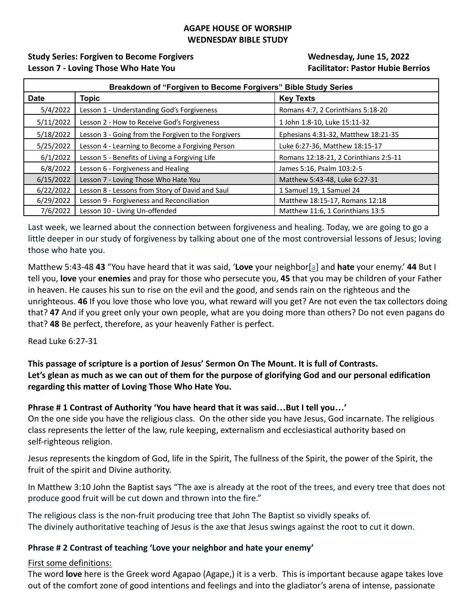### **AGAPE HOUSE OF WORSHIP WEDNESDAY BIBLE STUDY**

## **Study Series: Forgiven to Become Forgivers Wednesday, June 15, 2022 Lesson 7 - Loving Those Who Hate You Facilitator: Pastor Hubie Berrios**

| Breakdown of "Forgiven to Become Forgivers" Bible Study Series |                                                     |                                       |
|----------------------------------------------------------------|-----------------------------------------------------|---------------------------------------|
| <b>Date</b>                                                    | <b>Topic</b>                                        | <b>Key Texts</b>                      |
| 5/4/2022                                                       | Lesson 1 - Understanding God's Forgiveness          | Romans 4:7, 2 Corinthians 5:18-20     |
| 5/11/2022                                                      | Lesson 2 - How to Receive God's Forgiveness         | 1 John 1:8-10, Luke 15:11-32          |
| 5/18/2022                                                      | Lesson 3 - Going from the Forgiven to the Forgivers | Ephesians 4:31-32, Matthew 18:21-35   |
| 5/25/2022                                                      | Lesson 4 - Learning to Become a Forgiving Person    | Luke 6:27-36, Matthew 18:15-17        |
| 6/1/2022                                                       | Lesson 5 - Benefits of Living a Forgiving Life      | Romans 12:18-21, 2 Corinthians 2:5-11 |
| 6/8/2022                                                       | Lesson 6 - Forgiveness and Healing                  | James 5:16, Psalm 103:2-5             |
| 6/15/2022                                                      | Lesson 7 - Loving Those Who Hate You                | Matthew 5:43-48, Luke 6:27-31         |
| 6/22/2022                                                      | Lesson 8 - Lessons from Story of David and Saul     | 1 Samuel 19, 1 Samuel 24              |
| 6/29/2022                                                      | Lesson 9 - Forgiveness and Reconciliation           | Matthew 18:15-17, Romans 12:18        |
| 7/6/2022                                                       | Lesson 10 - Living Un-offended                      | Matthew 11:6, 1 Corinthians 13:5      |

Last week, we learned about the connection between forgiveness and healing. Today, we are going to go a little deeper in our study of forgiveness by talking about one of the most controversial lessons of Jesus; loving those who hate you.

Matthew 5:43-48 **43** "You have heard that it was said, '**Love** your neighbor[a] and **hate** your enemy.' **44** But I tell you, **love** your **enemies** and pray for those who persecute you, **45** that you may be children of your Father in heaven. He causes his sun to rise on the evil and the good, and sends rain on the righteous and the unrighteous. **46** If you love those who love you, what reward will you get? Are not even the tax collectors doing that? **47** And if you greet only your own people, what are you doing more than others? Do not even pagans do that? **48** Be perfect, therefore, as your heavenly Father is perfect.

## Read Luke 6:27-31

## **This passage of scripture is a portion of Jesus' Sermon On The Mount. It is full of Contrasts. Let's glean as much as we can out of them for the purpose of glorifying God and our personal edification regarding this matter of Loving Those Who Hate You.**

## **Phrase # 1 Contrast of Authority 'You have heard that it was said…But I tell you…'**

On the one side you have the religious class. On the other side you have Jesus, God incarnate. The religious class represents the letter of the law, rule keeping, externalism and ecclesiastical authority based on self-righteous religion.

Jesus represents the kingdom of God, life in the Spirit, The fullness of the Spirit, the power of the Spirit, the fruit of the spirit and Divine authority.

In Matthew 3:10 John the Baptist says "The axe is already at the root of the trees, and every tree that does not produce good fruit will be cut down and thrown into the fire."

The religious class is the non-fruit producing tree that John The Baptist so vividly speaks of. The divinely authoritative teaching of Jesus is the axe that Jesus swings against the root to cut it down.

## **Phrase # 2 Contrast of teaching 'Love your neighbor and hate your enemy'**

#### First some definitions:

The word **love** here is the Greek word Agapao (Agape,) it is a verb. This is important because agape takes love out of the comfort zone of good intentions and feelings and into the gladiator's arena of intense, passionate